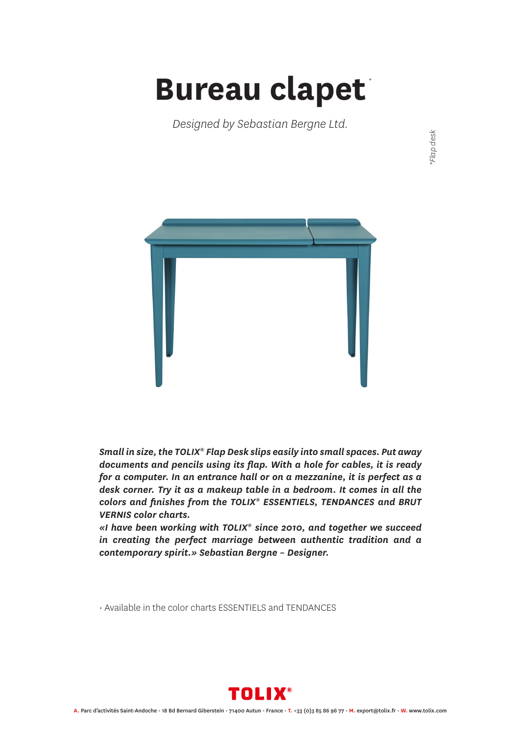## **Bureau clapet** *\**

*Designed by Sebastian Bergne Ltd.*



*Small in size, the TOLIX® Flap Desk slips easily into small spaces. Put away documents and pencils using its flap. With a hole for cables, it is ready for a computer. In an entrance hall or on a mezzanine, it is perfect as a desk corner. Try it as a makeup table in a bedroom. It comes in all the colors and finishes from the TOLIX® ESSENTIELS, TENDANCES and BRUT VERNIS color charts.*

*«I have been working with TOLIX® since 2010, and together we succeed in creating the perfect marriage between authentic tradition and a contemporary spirit.» Sebastian Bergne – Designer.*

• Available in the color charts ESSENTIELS and TENDANCES